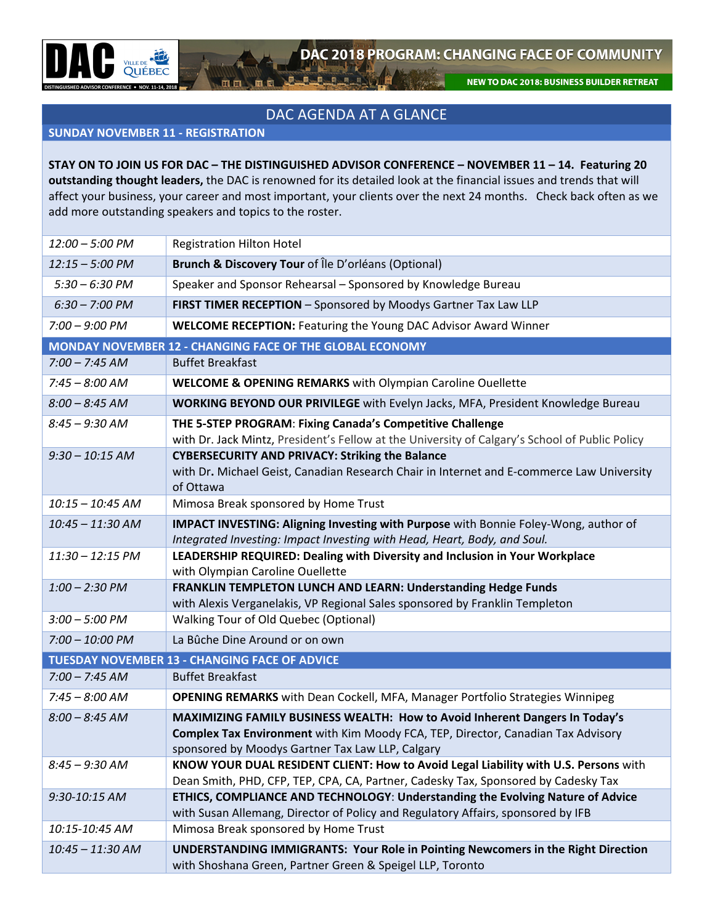NEW TO DAC 2018: BUSINESS BUILDER RETREAT

## DAC AGENDA AT A GLANCE

 $\frac{1}{2}$ 

## **SUNDAY NOVEMBER 11 - REGISTRATION**

**STAY ON TO JOIN US FOR DAC – THE DISTINGUISHED ADVISOR CONFERENCE – NOVEMBER 11 – 14. Featuring 20 outstanding thought leaders,** the DAC is renowned for its detailed look at the financial issues and trends that will affect your business, your career and most important, your clients over the next 24 months. Check back often as we add more outstanding speakers and topics to the roster.

| 12:00 - 5:00 PM          | <b>Registration Hilton Hotel</b>                                                                                                                                                                                    |
|--------------------------|---------------------------------------------------------------------------------------------------------------------------------------------------------------------------------------------------------------------|
| $12:15 - 5:00$ PM        | <b>Brunch &amp; Discovery Tour of Île D'orléans (Optional)</b>                                                                                                                                                      |
| $5:30 - 6:30$ PM         | Speaker and Sponsor Rehearsal - Sponsored by Knowledge Bureau                                                                                                                                                       |
| $6:30 - 7:00 \text{ PM}$ | FIRST TIMER RECEPTION - Sponsored by Moodys Gartner Tax Law LLP                                                                                                                                                     |
| $7:00 - 9:00$ PM         | <b>WELCOME RECEPTION: Featuring the Young DAC Advisor Award Winner</b>                                                                                                                                              |
|                          | MONDAY NOVEMBER 12 - CHANGING FACE OF THE GLOBAL ECONOMY                                                                                                                                                            |
| $7:00 - 7:45 AM$         | <b>Buffet Breakfast</b>                                                                                                                                                                                             |
| $7:45 - 8:00$ AM         | <b>WELCOME &amp; OPENING REMARKS</b> with Olympian Caroline Ouellette                                                                                                                                               |
| $8:00 - 8:45$ AM         | <b>WORKING BEYOND OUR PRIVILEGE</b> with Evelyn Jacks, MFA, President Knowledge Bureau                                                                                                                              |
| $8:45 - 9:30$ AM         | THE 5-STEP PROGRAM: Fixing Canada's Competitive Challenge<br>with Dr. Jack Mintz, President's Fellow at the University of Calgary's School of Public Policy                                                         |
| $9:30 - 10:15$ AM        | <b>CYBERSECURITY AND PRIVACY: Striking the Balance</b><br>with Dr. Michael Geist, Canadian Research Chair in Internet and E-commerce Law University<br>of Ottawa                                                    |
| $10:15 - 10:45$ AM       | Mimosa Break sponsored by Home Trust                                                                                                                                                                                |
| $10:45 - 11:30$ AM       | <b>IMPACT INVESTING: Aligning Investing with Purpose</b> with Bonnie Foley-Wong, author of<br>Integrated Investing: Impact Investing with Head, Heart, Body, and Soul.                                              |
| $11:30 - 12:15$ PM       | LEADERSHIP REQUIRED: Dealing with Diversity and Inclusion in Your Workplace<br>with Olympian Caroline Ouellette                                                                                                     |
| $1:00 - 2:30$ PM         | FRANKLIN TEMPLETON LUNCH AND LEARN: Understanding Hedge Funds<br>with Alexis Verganelakis, VP Regional Sales sponsored by Franklin Templeton                                                                        |
| $3:00 - 5:00$ PM         | Walking Tour of Old Quebec (Optional)                                                                                                                                                                               |
| $7:00 - 10:00$ PM        | La Bûche Dine Around or on own                                                                                                                                                                                      |
|                          | <b>TUESDAY NOVEMBER 13 - CHANGING FACE OF ADVICE</b>                                                                                                                                                                |
| $7:00 - 7:45$ AM         | <b>Buffet Breakfast</b>                                                                                                                                                                                             |
| $7:45 - 8:00$ AM         | <b>OPENING REMARKS</b> with Dean Cockell, MFA, Manager Portfolio Strategies Winnipeg                                                                                                                                |
| $8:00 - 8:45$ AM         | MAXIMIZING FAMILY BUSINESS WEALTH: How to Avoid Inherent Dangers In Today's<br>Complex Tax Environment with Kim Moody FCA, TEP, Director, Canadian Tax Advisory<br>sponsored by Moodys Gartner Tax Law LLP, Calgary |
| $8:45 - 9:30$ AM         | KNOW YOUR DUAL RESIDENT CLIENT: How to Avoid Legal Liability with U.S. Persons with<br>Dean Smith, PHD, CFP, TEP, CPA, CA, Partner, Cadesky Tax, Sponsored by Cadesky Tax                                           |
| 9:30-10:15 AM            | ETHICS, COMPLIANCE AND TECHNOLOGY: Understanding the Evolving Nature of Advice<br>with Susan Allemang, Director of Policy and Regulatory Affairs, sponsored by IFB                                                  |
| 10:15-10:45 AM           | Mimosa Break sponsored by Home Trust                                                                                                                                                                                |
| 10:45 - 11:30 AM         | UNDERSTANDING IMMIGRANTS: Your Role in Pointing Newcomers in the Right Direction<br>with Shoshana Green, Partner Green & Speigel LLP, Toronto                                                                       |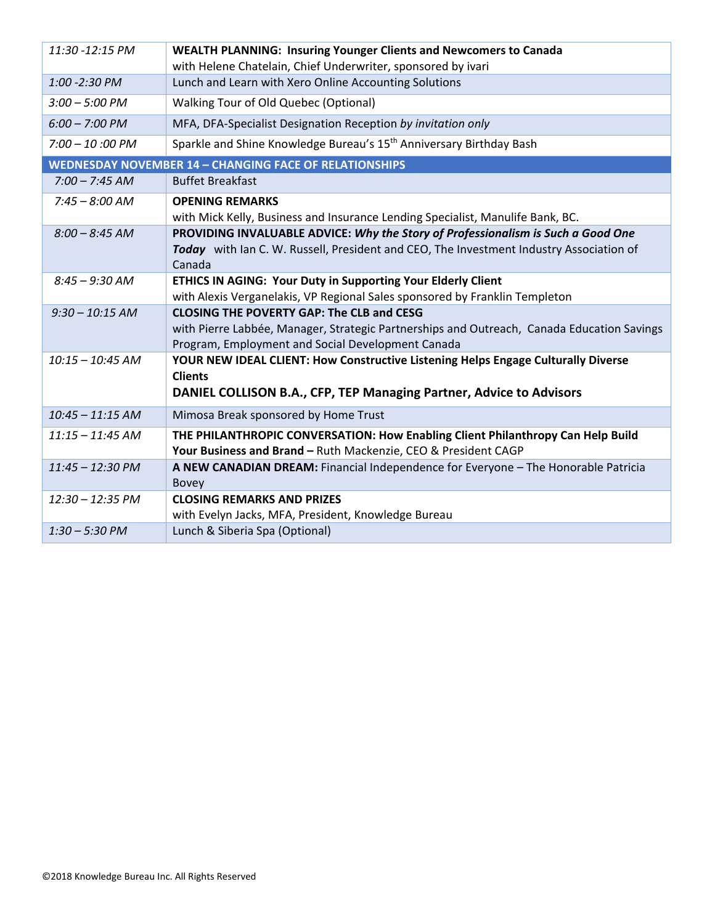| 11:30 -12:15 PM                                               | <b>WEALTH PLANNING: Insuring Younger Clients and Newcomers to Canada</b>                   |  |
|---------------------------------------------------------------|--------------------------------------------------------------------------------------------|--|
|                                                               | with Helene Chatelain, Chief Underwriter, sponsored by ivari                               |  |
| 1:00 - 2:30 PM                                                | Lunch and Learn with Xero Online Accounting Solutions                                      |  |
| $3:00 - 5:00$ PM                                              | <b>Walking Tour of Old Quebec (Optional)</b>                                               |  |
| $6:00 - 7:00$ PM                                              | MFA, DFA-Specialist Designation Reception by invitation only                               |  |
| $7:00 - 10:00 \text{ PM}$                                     | Sparkle and Shine Knowledge Bureau's 15 <sup>th</sup> Anniversary Birthday Bash            |  |
| <b>WEDNESDAY NOVEMBER 14 - CHANGING FACE OF RELATIONSHIPS</b> |                                                                                            |  |
| $7:00 - 7:45 AM$                                              | <b>Buffet Breakfast</b>                                                                    |  |
| $7:45 - 8:00$ AM                                              | <b>OPENING REMARKS</b>                                                                     |  |
|                                                               | with Mick Kelly, Business and Insurance Lending Specialist, Manulife Bank, BC.             |  |
| $8:00 - 8:45$ AM                                              | PROVIDING INVALUABLE ADVICE: Why the Story of Professionalism is Such a Good One           |  |
|                                                               | Today with Ian C. W. Russell, President and CEO, The Investment Industry Association of    |  |
|                                                               | Canada                                                                                     |  |
| $8:45 - 9:30$ AM                                              | ETHICS IN AGING: Your Duty in Supporting Your Elderly Client                               |  |
|                                                               | with Alexis Verganelakis, VP Regional Sales sponsored by Franklin Templeton                |  |
| $9:30 - 10:15$ AM                                             | <b>CLOSING THE POVERTY GAP: The CLB and CESG</b>                                           |  |
|                                                               | with Pierre Labbée, Manager, Strategic Partnerships and Outreach, Canada Education Savings |  |
|                                                               | Program, Employment and Social Development Canada                                          |  |
| $10:15 - 10:45$ AM                                            | YOUR NEW IDEAL CLIENT: How Constructive Listening Helps Engage Culturally Diverse          |  |
|                                                               | <b>Clients</b>                                                                             |  |
|                                                               | DANIEL COLLISON B.A., CFP, TEP Managing Partner, Advice to Advisors                        |  |
| $10:45 - 11:15$ AM                                            | Mimosa Break sponsored by Home Trust                                                       |  |
| $11:15 - 11:45$ AM                                            | THE PHILANTHROPIC CONVERSATION: How Enabling Client Philanthropy Can Help Build            |  |
|                                                               | Your Business and Brand - Ruth Mackenzie, CEO & President CAGP                             |  |
| 11:45 - 12:30 PM                                              | A NEW CANADIAN DREAM: Financial Independence for Everyone - The Honorable Patricia         |  |
|                                                               | <b>Bovey</b>                                                                               |  |
| 12:30 - 12:35 PM                                              | <b>CLOSING REMARKS AND PRIZES</b>                                                          |  |
|                                                               | with Evelyn Jacks, MFA, President, Knowledge Bureau                                        |  |
| $1:30 - 5:30 P M$                                             | Lunch & Siberia Spa (Optional)                                                             |  |